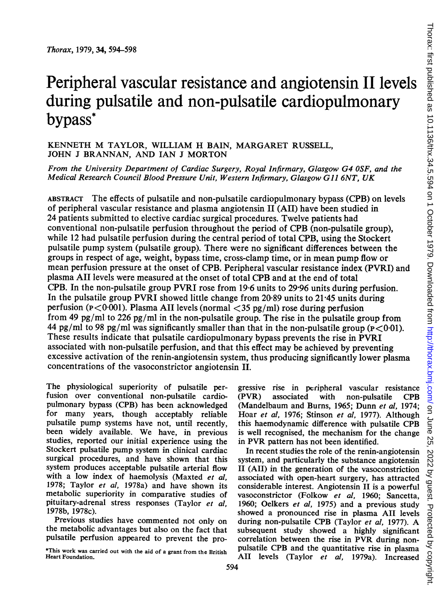# Peripheral vascular resistance and angiotensin II levels during pulsatile and non-pulsatile cardiopulmonary bypass\*

# KENNETH M TAYLOR, WILLIAM H BAIN, MARGARET RUSSELL, JOHN <sup>J</sup> BRANNAN, AND IAN <sup>J</sup> MORTON

From the University Department of Cardiac Surgery, Royal Infirmary, Glasgow G4 OSF, and the Medical Research Council Blood Pressure Unit, Western Infirmary, Glasgow Gil 6NT, UK

ABSTRACT The effects of pulsatile and non-pulsatile cardiopulmonary bypass (CPB) on levels of peripheral vascular resistance and plasma angiotensin II (AII) have been studied in 24 patients submitted to elective cardiac surgical procedures. Twelve patients had conventional non-pulsatile perfusion throughout the period of CPB (non-pulsatile group), while 12 had pulsatile perfusion during the central period of total CPB, using the Stockert pulsatile pump system (pulsatile group). There were no significant differences between the groups in respect of age, weight, bypass time, cross-clamp time, or in mean pump flow or mean perfusion pressure at the onset of CPB. Peripheral vascular resistance index (PVRI) and plasma AII levels were measured at the onset of total CPB and at the end of total CPB. In the non-pulsatile group PVRI rose from 19-6 units to 29-96 units during perfusion. In the pulsatile group PVRI showed little change from 20-89 units to 21-45 units during perfusion ( $P < 0.001$ ). Plasma AII levels (normal  $<$ 35 pg/ml) rose during perfusion from 49 pg/ml to 226 pg/ml in the non-pulsatile group. The rise in the pulsatile group from 44 pg/ml to 98 pg/ml was significantly smaller than that in the non-pulsatile group ( $p < 0.01$ ). These results indicate that pulsatile cardiopulmonary bypass prevents the rise in PVRI associated with non-pulsatile perfusion, and that this effect may be achieved by preventing excessive activation of the renin-angiotensin system, thus producing significantly lower plasma concentrations of the vasoconstrictor angiotensin II.

The physiological superiority of pulsatile perfusion over conventional non-pulsatile cardiopulmonary bypass (CPB) has been acknowledged for many years, though acceptably reliable pulsatile pump systems have not, until recently, been widely available. We have, in previous studies, reported our initial experience using the Stockert pulsatile pump system in clinical cardiac surgical procedures, and have shown that this system produces acceptable pulsatile arterial flow with a low index of haemolysis (Maxted et al, 1978; Taylor et al, 1978a) and have shown its metabolic superiority in comparative studies of pituitary-adrenal stress responses (Taylor et al, 1978b, 1978c).

Previous studies have commented not only on the metabolic advantages but also on the fact that pulsatile perfusion appeared to prevent the progressive rise in peripheral vascular resistance<br>(PVR) associated with non-pulsatile CPB associated with non-pulsatile CPB (Mandelbaum and Burns, 1965; Dunn et al, 1974; Hoar et al, 1976; Stinson et al, 1977). Although this haemodynamic difference with pulsatile CPB is well recognised, the mechanism for the change in PVR pattern has not been identified.

In recent studies the role of the renin-angiotensin system, and particularly the substance angiotensin II (AII) in the generation of the vasoconstriction associated with open-heart surgery, has attracted considerable interest. Angiotensin IL is a powerful vasoconstrictor (Folkow et al, 1960; Sancetta, 1960; Oelkers et al, 1975) and a previous study showed a pronounced rise in plasma All levels during non-pulsatile CPB (Taylor et al, 1977). A subsequent study showed a highly significant correlation between the rise in PVR during nonpulsatile CPB and the quantitative rise in plasma AII levels (Taylor et al. 1979a). Increased

<sup>\*</sup>This work was carried out with the aid of a grant from the British Heart Foundation.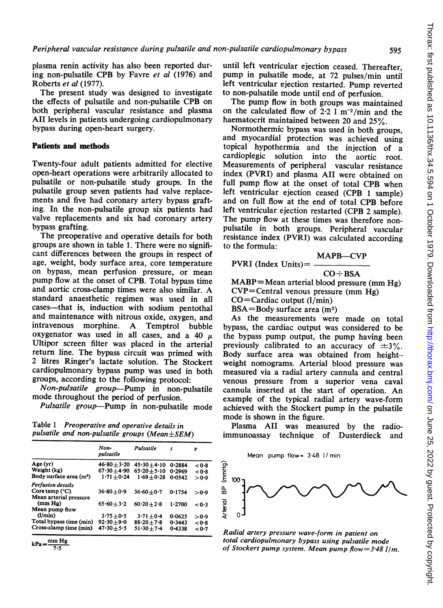plasma renin activity has also been reported during non-pulsatile CPB by Favre et al (1976) and Roberts et al (1977).

The present study was designed to investigate the effects of pulsatile and non-pulsatile CPB on both peripheral vascular resistance and plasma AII levels in patients undergoing cardiopulmonary bypass during open-heart surgery.

#### Patients and methods

Twenty-four adult patients admitted for elective open-heart operations were arbitrarily allocated to pulsatile or non-pulsatile study groups. In the pulsatile group seven patients had valve replacements and five had coronary artery bypass grafting. In the non-pulsatile group six patients had valve replacements and six had coronary artery bypass grafting.

The preoperative and operative details for both groups are shown in table 1. There were no significant differences between the groups in respect of age, weight, body surface area, core temperature on bypass, mean perfusion pressure, or mean pump flow at the onset of CPB. Total bypass time and aortic cross-clamp times were also similar. A standard anaesthetic regimen was used in all cases-that is, induction with sodium pentothal and maintenance with nitrous oxide, oxygen, and intravenous morphine. A Temptrol bubble oxygenator was used in all cases, and a 40  $\mu$ Ultipor screen filter was placed in the arterial return line. The bypass circuit was primed with 2 litres Ringer's lactate solution. The Stockert cardiopulmonary bypass pump was used in both groups, according to the following protocol:

Non-pulsatile group-Pump in non-pulsatile mode throughout the period of perfusion.

Pulsatile group-Pump in non-pulsatile mode

Table <sup>1</sup> Preoperative and operative details in pulsatile and non-pulsatile groups (Mean±SEM)

|                                     | Non-<br>pulsatile | Pulsatile      | t      | P     |
|-------------------------------------|-------------------|----------------|--------|-------|
| Age(yr)                             | $46.80 + 3.20$    | $45.30 + 4.10$ | 0.2884 | < 0.8 |
| Weight (kg)                         | $67.30 + 4.90$    | $65.20 + 5.10$ | 0.2969 | < 0.8 |
| Body surface area (m <sup>2</sup> ) | $1.71 + 0.24$     | $1.69 + 0.28$  | 0.0542 | > 0.9 |
| Perfusion details                   |                   |                |        |       |
| Core temp $(^{\circ}C)$             | $36.80 + 0.9$     | $36.60 + 0.7$  | 0.1754 | > 0.9 |
| Mean arterial pressure              |                   |                |        |       |
| (mm Hg)                             | $65.60 + 3.2$     | $60.20 + 2.8$  | 1.2700 | < 0.3 |
| Mean pump flow                      |                   |                |        |       |
| (l/min)                             | $3.75 + 0.5$      | $3.71 + 0.4$   | 0.0625 | > 0.9 |
| Total bypass time (min)             | $92.30 + 9.0$     | $88.20 + 7.8$  | 0.3443 | < 0.8 |
| Cross-clamp time (min)              | $47.30 + 5.5$     | $51.30 + 7.4$  | 0.4338 | < 0∙7 |
|                                     |                   |                |        |       |

 $kPa = \frac{mm Hg}{7.5}$ 

until left ventricular ejection ceased. Thereafter, pump in pulsatile mode, at 72 pulses/min until left ventricular ejection restarted. Pump reverted to non-pulsatile mode until end of perfusion.

The pump flow in both groups was maintained on the calculated flow of  $2.2 \text{ l m}^{-2}/\text{min}$  and the haematocrit maintained between 20 and 25%.

Normothermic bypass was used in both groups, and myocardial protection was achieved using topical hypothermia and the injection of a cardioplegic solution into the aortic root. Measurements of peripheral vascular resistance index (PVRI) and plasma AII were obtained on full pump flow at the onset of total CPB when left ventricular ejection ceased (CPB <sup>1</sup> sample) and on full flow at the end of total CPB before left ventricular ejection restarted (CPB 2 sample). The pump flow at these times was therefore nonpulsatile in both groups. Peripheral vascular resistance index (PVRI) was calculated according to the formula:

MAPB-CVP

$$
PVRI (Index Units) = \underline{\qquad}
$$

$$
\overbrace{\hspace{2.5em}}
$$

 $CO \div BSA$ MABP=Mean arterial blood pressure (mm Hg) CVP=Central venous pressure (mm Hg)

CO=Cardiac output (1/min)

 $BSA = Body surface area (m<sup>2</sup>)$ 

As the measurements were made on total bypass, the cardiac output was considered to be the bypass pump output, the pump having been previously calibrated to an accuracy of  $\pm 3\%$ . Body surface area was obtained from heightweight nomograms. Arterial blood pressure was measured via a radial artery cannula and central venous pressure from a superior vena caval cannula inserted at the start of operation. An example of the typical radial artery wave-form achieved with the Stockert pump in the pulsatile mode is shown in the figure.

Plasma AII was measured by the radioimmunoassay technique of Dusterdieck and





Radial artery pressure wave-form in patient on total cardiopulmonary bypass using pulsatile mode of Stockert pump system. Mean pump flow= $3.48$  l/m.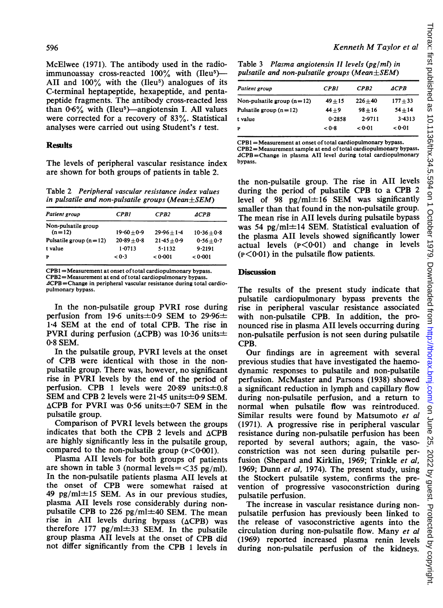McElwee (1971). The antibody used in the radioimmunoassay cross-reacted 100% with (Ileu5)- AII and  $100\%$  with the (Ileu<sup>5</sup>) analogues of its C-terminal heptapeptide, hexapeptide, and pentapeptide fragments. The antibody cross-reacted less than  $0.6\%$  with (Ileu<sup>5</sup>)—angiotensin I. All values were corrected for a recovery of 83%. Statistical analyses were carried out using Student's <sup>t</sup> test.

# **Results**

The levels of peripheral vascular resistance index are shown for both groups of patients in table 2.

Table 2 Peripheral vascular resistance index values in pulsatile and non-pulsatile groups (Mean $\pm$ SEM)

| Patient group            | CPBI          | CPB2          | <i>ACPB</i>   |
|--------------------------|---------------|---------------|---------------|
| Non-pulsatile group      |               |               |               |
| $(n=12)$                 | $19.60 + 0.9$ | $29.96 + 1.4$ | $10.36 + 0.8$ |
| Pulsatile group $(n=12)$ | $20.89 + 0.8$ | $21.45 + 0.9$ | $0.56 + 0.7$  |
| t value                  | 1.0713        | 5.1132        | $9 - 2191$    |
| P                        | < 0.3         | < 0.001       | < 0.001       |
|                          |               |               |               |

CPB1 =Measurement at onset oftotal cardiopulmonary bypass.

CPB2 =Measurement at end oftotal cardiopulmonary bypass. ACPB =Change in peripheral vascular resistance during total cardiopulmonary bypass.

In the non-pulsatile group PVRI rose during perfusion from 19.6 units $\pm 0.9$  SEM to 29.96 $\pm$ 1\*4 SEM at the end of total CPB. The rise in PVRI during perfusion ( $\triangle$ CPB) was 10.36 units $\pm$ 0\*8 SEM.

In the pulsatile group, PVRI levels at the onset of CPB were identical with those in the nonpulsatile group. There was, however, no significant rise in PVRI levels by the end of the period of perfusion. CPB 1 levels were  $20.89$  units $\pm 0.8$ SEM and CPB 2 levels were  $21.45$  units $\pm 0.9$  SEM.  $\triangle$ CPB for PVRI was 0.56 units $\pm$ 0.7 SEM in the pulsatile group.

Comparison of PVRI levels between the groups indicates that both the CPB 2 levels and  $\triangle$ CPB are highly significantly less in the pulsatile group, compared to the non-pulsatile group  $(P \leq 0.001)$ .

Plasma AII levels for both groups of patients are shown in table 3 (normal levels  $=$  <35 pg/ml). In the non-pulsatile patients plasma AII levels at the onset of CPB were somewhat raised at 49 pg/ml $\pm$ 15 SEM. As in our previous studies, plasma AII levels rose considerably during nonpulsatile CPB to 226 pg/ml $\pm$ 40 SEM. The mean rise in AII levels during bypass  $(\triangle CPB)$  was therefore 177 pg/ml $\pm$ 33 SEM. In the pulsatile group plasma AII levels at the onset of CPB did not differ significantly from the-CPB <sup>1</sup> levels in

Table 3 Plasma angiotensin II levels (pg/ml) in pulsatile and non-pulsatile groups (Mean $\pm$ SEM)

| Patient group                | <b>CPBI</b> | CPB2       | <i>ACPB</i> |
|------------------------------|-------------|------------|-------------|
| Non-pulsatile group $(n=12)$ | $49 + 15$   | $226 + 40$ | $177 + 33$  |
| Pulsatile group $(n=12)$     | $44 + 9$    | $98 + 16$  | $54 + 14$   |
| t value                      | 0.2858      | 2.9711     | $3-4313$    |
| P                            | < 0.8       | < 0.01     | 0.01        |

CPB1 =Measurement at onset oftotal cardiopulmonary bypass. CPB2=Measurement sample at end oftotal cardiopulmonary bypass. ACPB=Change in plasma AII level during total cardiopulmonary bypass.

the non-pulsatile group. The rise in AII levels during the period of pulsatile CPB to a CPB 2 level of 98 pg/ml $\pm$ 16 SEM was significantly smaller than that found in the non-pulsatile group. The mean rise in All levels during pulsatile bypass was 54 pg/ml $\pm$ 14 SEM. Statistical evaluation of the plasma All levels showed significantly lower actual levels  $(p<0.01)$  and change in levels  $(p<0.01)$  in the pulsatile flow patients.

## **Discussion**

The results of the present study indicate that pulsatile cardiopulmonary bypass prevents the rise in peripheral vascular resistance associated with non-pulsatile CPB. In addition, the pronounced rise in plasma AII levels occurring during non-pulsatile perfusion is not seen during pulsatile CPB.

Our findings are in agreement with several previous studies that have investigated the haemodynamic responses to pulsatile and non-pulsatile perfusion. McMaster and Parsons (1938) showed a significant reduction in lymph and capillary flow during non-pulsatile perfusion, and a return to normal when pulsatile flow was reintroduced. Similar results were found by Matsumoto et al. (1971). A progressive rise in peripheral vascular resistance during non-pulsatile perfusion has been reported by several authors; again, the vasoconstriction was not seen during pulsatile perfusion (Shepard and Kirklin, 1969; Trinkle et al. 1969; Dunn et al, 1974). The present study, using the Stockert pulsatile system, confirms the prevention of progressive vasoconstriction during pulsatile perfusion.

The increase in vascular resistance during nonpulsatile perfusion has previously been linked to the release of vasoconstrictive agents into the circulation during non-pulsatile flow. Many et al (1969) reported increased plasma renin levels during non-pulsatile perfusion of the kidneys.

## 596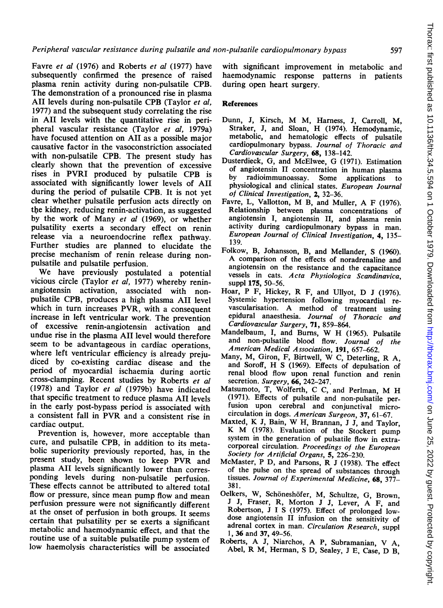Favre et al (1976) and Roberts et al (1977) have subsequently confirmed the presence of raised plasma renin activity during non-pulsatile CPB. The demonstration of a pronounced rise in plasma AII levels during non-pulsatile CPB (Taylor et al, 1977) and the subsequent study correlating the rise in All levels with the quantitative rise in peripheral vascular resistance (Taylor et al, 1979a) have focused attention on All as a possible major causative factor in the vasoconstriction associated with non-pulsatile CPB. The present study has clearly shown that the prevention of excessive rises in PVRI produced by pulsatile CPB is associated with significantly lower levels of All during the period of pulsatile CPB. It is not yet clear whether pulsatile perfusion acts directly on the kidney, reducing renin-activation, as suggested by the work of Many et al (1969), or whether pulsatility exerts a secondary effect on renin release via a neuroendocrine reflex pathway. Further studies are planned to elucidate the precise mechanism of renin release during nonpulsatile and pulsatile perfusion.

We have previously postulated <sup>a</sup> potential vicious circle (Taylor et al, 1977) whereby reninangiotensin activation, associated with nonpulsatile CPB, produces a high plasma AII level which in turn increases PVR, with a consequent increase in left ventricular work. The prevention of excessive renin-angiotensin activation and undue rise in the plasma All level would therefore seem to be advantageous in cardiac operations, where left ventricular efficiency is already prejudiced by co-existing cardiac disease and the period of myocardial ischaemia during aortic cross-clamping. Recent studies by Roberts et al (1978) and Taylor et al (1979b) have indicated that specific treatment to reduce plasma All levels in the early post-bypass period is associated with <sup>a</sup> consistent fall in PVR and <sup>a</sup> consistent rise in cardiac output.

Prevention is, however, more acceptable than cure, and pulsatile CPB, in addition to its metabolic superiority previously reported, has, in the present study, been shown to keep PVR and plasma AII levels significantly lower than corresponding levels during non-pulsatile perfusion. These effects cannot be attributed to altered total flow or pressure, since mean pump flow and mean perfusion pressure were not significantly different at the onset of perfusion in both groups. It seems certain that pulsatility per se exerts a significant metabolic and haemodynamic effect, and that the routine use of a suitable pulsatile pump system of low haemolysis characteristics will be associated with significant improvement in metabolic and haemodynamic response patterns in patients during open heart surgery.

## References

- Dunn, J, Kirsch, M M, Harness, J, Carroll, M, Straker, J, and Sloan, H (1974). Hemodynamic, metabolic, and hematologic effects of pulsatile cardiopulmonary bypass. Journal of Thoracic and Cardiovascular Surgery, 68, 138-142.
- Dusterdieck, G, and McElwee, G (1971). Estimation of angiotensin II concentration in human plasma<br>by radioimmunoassay. Some applications to radioimmunoassay. Some applications physiological and clinical states. European Journal of Clinical Investigation, 2, 32-36.
- Favre, L, Vallotton, M B, and Muller, A <sup>F</sup> (1976). Relationship between plasma concentrations of angiotensin I, angiotensin II, and plasma renin activity during cardiopulmonary bypass in man. European Journal of Clinical Investigation, 4, 135- 139.
- Folkow, B, Johansson, B, and Mellander, S (1960). A comparison of the effects of noradrenaline and angiotensin on the resistance and the capacitance vessels in cats. Acta Physiologica Scandinavica, suppl 175, 50-56.
- Hoar, <sup>P</sup> F, Hickey, R F, and Ullyot, D <sup>J</sup> (1976). Systemic hypertension following myocardial revascularisation. A method of treatment using epidural anaesthesia. Journal of Thoracic and Cardiovascular Surgery, 71, 859-864.
- Mandelbaum, I, and Burns, W H (1965). Pulsatile and non-pulsatile blood flow. Journal of the American Medical Association, 191, 657-662.<br>Many, M, Giron, F, Birtwell, W C, Deterling, R A.
- and Soroff, H S (1969). Effects of depulsation of renal blood flow upon renal function and renin secretion. Surgery, 66, 242-247.
- Matsumoto, T, Wolferth, C C, and Perlman, M H (1971). Effects of pulsatile and non-pulsatile per fusion upon cerebral and conjunctival microcirculation in dogs. American Surgeon, 37, 61-67.
- Maxted, K J, Bain, W H, Brannan, <sup>J</sup> J, and Taylor, K M (1978). Evaluation of the Stockert pump system in the generation of pulsatile flow in extracorporeal circulation. Proceedings of the European Society for Artificial Organs, 5, 226-230.
- McMaster, P D, and Parsons, R <sup>J</sup> (1938). The effect of the pulse on the spread of substances through tissues. Journal of Experimental Medicine, 68, 377- 381.
- Oelkers, W, Schoneshofer, M, Schultze, G, Brown, <sup>J</sup> J, Fraser, R, Morton <sup>J</sup> J, Lever, A F, and Robertson, J I S (1975). Effect of prolonged lowdose angiotensin II infusion on the sensitivity of adrenal cortex in man. Circulation Research, suppl 1, 36 and 37, 49-56.
- Roberts, A J, Niarchos, A P, Subramanian, V A, Abel, R M, Herman, <sup>S</sup> D, Sealey, <sup>J</sup> E, Case, D B,